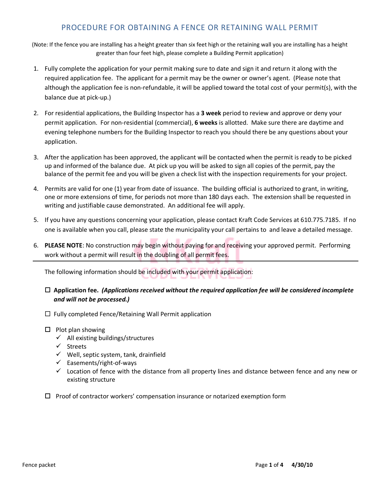# PROCEDURE FOR OBTAINING A FENCE OR RETAINING WALL PERMIT

(Note: If the fence you are installing has a height greater than six feet high or the retaining wall you are installing has a height greater than four feet high, please complete a Building Permit application)

- 1. Fully complete the application for your permit making sure to date and sign it and return it along with the required application fee. The applicant for a permit may be the owner or owner's agent. (Please note that although the application fee is non-refundable, it will be applied toward the total cost of your permit(s), with the balance due at pick-up.)
- 2. For residential applications, the Building Inspector has a **3 week** period to review and approve or deny your permit application. For non-residential (commercial), **6 weeks** is allotted. Make sure there are daytime and evening telephone numbers for the Building Inspector to reach you should there be any questions about your application.
- 3. After the application has been approved, the applicant will be contacted when the permit is ready to be picked up and informed of the balance due. At pick up you will be asked to sign all copies of the permit, pay the balance of the permit fee and you will be given a check list with the inspection requirements for your project.
- 4. Permits are valid for one (1) year from date of issuance. The building official is authorized to grant, in writing, one or more extensions of time, for periods not more than 180 days each. The extension shall be requested in writing and justifiable cause demonstrated. An additional fee will apply.
- 5. If you have any questions concerning your application, please contact Kraft Code Services at 610.775.7185. If no one is available when you call, please state the municipality your call pertains to and leave a detailed message.
- 6. **PLEASE NOTE**: No construction may begin without paying for and receiving your approved permit. Performing work without a permit will result in the doubling of all permit fees.

The following information should be included with your permit application:

## **Application fee.** *(Applications received without the required application fee will be considered incomplete and will not be processed.)*

- □ Fully completed Fence/Retaining Wall Permit application
- $\Box$  Plot plan showing
	- $\checkmark$  All existing buildings/structures
	- $\checkmark$  Streets
	- $\checkmark$  Well, septic system, tank, drainfield
	- $\checkmark$  Easements/right-of-ways
	- $\checkmark$  Location of fence with the distance from all property lines and distance between fence and any new or existing structure
- $\Box$  Proof of contractor workers' compensation insurance or notarized exemption form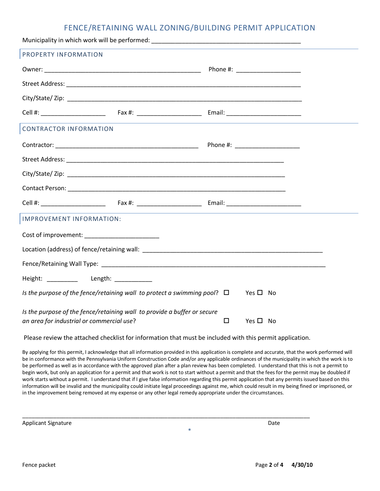## FENCE/RETAINING WALL ZONING/BUILDING PERMIT APPLICATION

| PROPERTY INFORMATION                                                                              |  |  |  |
|---------------------------------------------------------------------------------------------------|--|--|--|
|                                                                                                   |  |  |  |
|                                                                                                   |  |  |  |
|                                                                                                   |  |  |  |
|                                                                                                   |  |  |  |
| <b>CONTRACTOR INFORMATION</b>                                                                     |  |  |  |
|                                                                                                   |  |  |  |
|                                                                                                   |  |  |  |
|                                                                                                   |  |  |  |
|                                                                                                   |  |  |  |
|                                                                                                   |  |  |  |
| IMPROVEMENT INFORMATION:                                                                          |  |  |  |
|                                                                                                   |  |  |  |
|                                                                                                   |  |  |  |
|                                                                                                   |  |  |  |
| Height: __________ Length: ___________                                                            |  |  |  |
| Is the purpose of the fence/retaining wall to protect a swimming pool? $\square$ Yes $\square$ No |  |  |  |
| Is the purpose of the fence/retaining wall to provide a buffer or secure                          |  |  |  |
| an area for industrial or commercial use?<br>$\Box$<br>Yes $\square$ No                           |  |  |  |

Please review the attached checklist for information that must be included with this permit application.

\_\_\_\_\_\_\_\_\_\_\_\_\_\_\_\_\_\_\_\_\_\_\_\_\_\_\_\_\_\_\_\_\_\_\_\_\_\_\_\_\_\_\_\_\_\_\_\_\_\_\_\_\_\_\_\_\_\_\_\_\_\_\_\_\_\_\_\_\_\_\_\_\_\_\_\_\_\_\_\_\_\_\_\_\_\_\_\_\_\_\_\_\_

By applying for this permit, I acknowledge that all information provided in this application is complete and accurate, that the work performed will be in conformance with the Pennsylvania Uniform Construction Code and/or any applicable ordinances of the municipality in which the work is to be performed as well as in accordance with the approved plan after a plan review has been completed. I understand that this is not a permit to begin work, but only an application for a permit and that work is not to start without a permit and that the fees for the permit may be doubled if work starts without a permit. I understand that if I give false information regarding this permit application that any permits issued based on this information will be invalid and the municipality could initiate legal proceedings against me, which could result in my being fined or imprisoned, or in the improvement being removed at my expense or any other legal remedy appropriate under the circumstances.

\*

Applicant Signature Date of the Date of the Date of the Date of the Date of the Date of the Date of the Date of the Date of the Date of the Date of the Date of the Date of the Date of the Date of the Date of the Date of th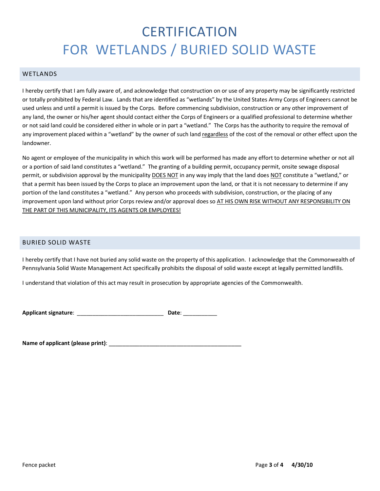# **CERTIFICATION** FOR WETLANDS / BURIED SOLID WASTE

#### WETLANDS

I hereby certify that I am fully aware of, and acknowledge that construction on or use of any property may be significantly restricted or totally prohibited by Federal Law. Lands that are identified as "wetlands" by the United States Army Corps of Engineers cannot be used unless and until a permit is issued by the Corps. Before commencing subdivision, construction or any other improvement of any land, the owner or his/her agent should contact either the Corps of Engineers or a qualified professional to determine whether or not said land could be considered either in whole or in part a "wetland." The Corps has the authority to require the removal of any improvement placed within a "wetland" by the owner of such land regardless of the cost of the removal or other effect upon the landowner.

No agent or employee of the municipality in which this work will be performed has made any effort to determine whether or not all or a portion of said land constitutes a "wetland." The granting of a building permit, occupancy permit, onsite sewage disposal permit, or subdivision approval by the municipality DOES NOT in any way imply that the land does NOT constitute a "wetland," or that a permit has been issued by the Corps to place an improvement upon the land, or that it is not necessary to determine if any portion of the land constitutes a "wetland." Any person who proceeds with subdivision, construction, or the placing of any improvement upon land without prior Corps review and/or approval does so AT HIS OWN RISK WITHOUT ANY RESPONSIBILITY ON THE PART OF THIS MUNICIPALITY, ITS AGENTS OR EMPLOYEES!

## BURIED SOLID WASTE

I hereby certify that I have not buried any solid waste on the property of this application. I acknowledge that the Commonwealth of Pennsylvania Solid Waste Management Act specifically prohibits the disposal of solid waste except at legally permitted landfills.

I understand that violation of this act may result in prosecution by appropriate agencies of the Commonwealth.

**Applicant signature**: \_\_\_\_\_\_\_\_\_\_\_\_\_\_\_\_\_\_\_\_\_\_\_\_\_\_\_\_ **Date**: \_\_\_\_\_\_\_\_\_\_\_

**Name of applicant (please print)**: \_\_\_\_\_\_\_\_\_\_\_\_\_\_\_\_\_\_\_\_\_\_\_\_\_\_\_\_\_\_\_\_\_\_\_\_\_\_\_